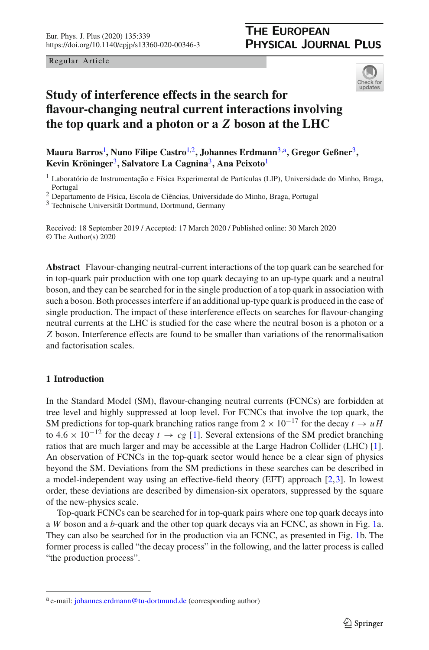Regular Article

<span id="page-0-1"></span>

# **Study of interference effects in the search for flavour-changing neutral current interactions involving the top quark and a photon or a** *Z* **boson at the LHC**

**Maura Barros**[1](#page-0-0) **, Nuno Filipe Castro**[1,2](#page-0-0)**, Johannes Erdmann**[3,](#page-0-1)a**, Gregor Geßner**[3](#page-0-1)**, Kevin Kröninger**[3](#page-0-1)**, Salvatore La Cagnina**[3](#page-0-1)**, Ana Peixoto**[1](#page-0-0)

<span id="page-0-0"></span><sup>1</sup> Laboratório de Instrumentação e Física Experimental de Partículas (LIP), Universidade do Minho, Braga, Portugal

<sup>2</sup> Departamento de Física, Escola de Ciências, Universidade do Minho, Braga, Portugal

<sup>3</sup> Technische Universität Dortmund, Dortmund, Germany

Received: 18 September 2019 / Accepted: 17 March 2020 / Published online: 30 March 2020 © The Author(s) 2020

**Abstract** Flavour-changing neutral-current interactions of the top quark can be searched for in top-quark pair production with one top quark decaying to an up-type quark and a neutral boson, and they can be searched for in the single production of a top quark in association with such a boson. Both processes interfere if an additional up-type quark is produced in the case of single production. The impact of these interference effects on searches for flavour-changing neutral currents at the LHC is studied for the case where the neutral boson is a photon or a *Z* boson. Interference effects are found to be smaller than variations of the renormalisation and factorisation scales.

# **1 Introduction**

In the Standard Model (SM), flavour-changing neutral currents (FCNCs) are forbidden at tree level and highly suppressed at loop level. For FCNCs that involve the top quark, the SM predictions for top-quark branching ratios range from  $2 \times 10^{-17}$  for the decay  $t \to uH$ to  $4.6 \times 10^{-12}$  for the decay  $t \to cg$  [\[1](#page-6-0)]. Several extensions of the SM predict branching ratios that are much larger and may be accessible at the Large Hadron Collider (LHC) [\[1\]](#page-6-0). An observation of FCNCs in the top-quark sector would hence be a clear sign of physics beyond the SM. Deviations from the SM predictions in these searches can be described in a model-independent way using an effective-field theory (EFT) approach [\[2](#page-6-1)[,3\]](#page-6-2). In lowest order, these deviations are described by dimension-six operators, suppressed by the square of the new-physics scale.

Top-quark FCNCs can be searched for in top-quark pairs where one top quark decays into a *W* boson and a *b*-quark and the other top quark decays via an FCNC, as shown in Fig. [1a](#page-1-0). They can also be searched for in the production via an FCNC, as presented in Fig. [1b](#page-1-0). The former process is called "the decay process" in the following, and the latter process is called "the production process".

<sup>a</sup> e-mail: [johannes.erdmann@tu-dortmund.de](mailto:johannes.erdmann@tu-dortmund.de) (corresponding author)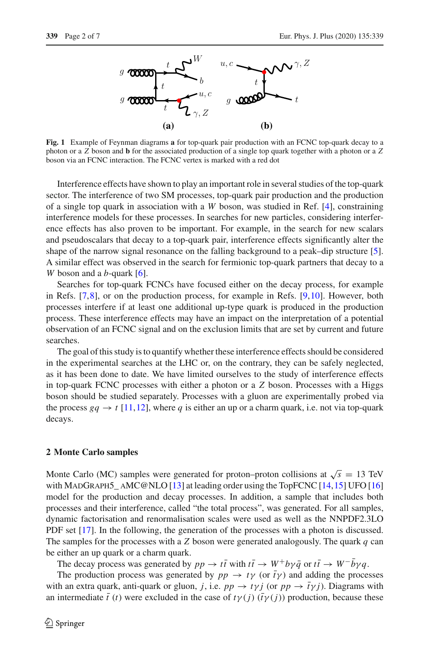

<span id="page-1-0"></span>**Fig. 1** Example of Feynman diagrams **a** for top-quark pair production with an FCNC top-quark decay to a photon or a *Z* boson and **b** for the associated production of a single top quark together with a photon or a *Z* boson via an FCNC interaction. The FCNC vertex is marked with a red dot

Interference effects have shown to play an important role in several studies of the top-quark sector. The interference of two SM processes, top-quark pair production and the production of a single top quark in association with a *W* boson, was studied in Ref. [\[4\]](#page-6-3), constraining interference models for these processes. In searches for new particles, considering interference effects has also proven to be important. For example, in the search for new scalars and pseudoscalars that decay to a top-quark pair, interference effects significantly alter the shape of the narrow signal resonance on the falling background to a peak–dip structure [\[5\]](#page-6-4). A similar effect was observed in the search for fermionic top-quark partners that decay to a *W* boson and a *b*-quark [\[6](#page-6-5)].

Searches for top-quark FCNCs have focused either on the decay process, for example in Refs. [\[7](#page-6-6)[,8\]](#page-6-7), or on the production process, for example in Refs. [\[9](#page-6-8)[,10\]](#page-6-9). However, both processes interfere if at least one additional up-type quark is produced in the production process. These interference effects may have an impact on the interpretation of a potential observation of an FCNC signal and on the exclusion limits that are set by current and future searches.

The goal of this study is to quantify whether these interference effects should be considered in the experimental searches at the LHC or, on the contrary, they can be safely neglected, as it has been done to date. We have limited ourselves to the study of interference effects in top-quark FCNC processes with either a photon or a *Z* boson. Processes with a Higgs boson should be studied separately. Processes with a gluon are experimentally probed via the process  $gq \rightarrow t$  [\[11](#page-6-10),[12](#page-6-11)], where q is either an up or a charm quark, i.e. not via top-quark decays.

#### **2 Monte Carlo samples**

Monte Carlo (MC) samples were generated for proton–proton collisions at  $\sqrt{s} = 13$  TeV with MADGRAPH5\_AMC@NLO [\[13\]](#page-6-12) at leading order using the TopFCNC [\[14](#page-6-13), 15] UFO [\[16\]](#page-6-15) model for the production and decay processes. In addition, a sample that includes both processes and their interference, called "the total process", was generated. For all samples, dynamic factorisation and renormalisation scales were used as well as the NNPDF2.3LO PDF set [\[17](#page-6-16)]. In the following, the generation of the processes with a photon is discussed. The samples for the processes with a *Z* boson were generated analogously. The quark *q* can be either an up quark or a charm quark.

The decay process was generated by  $pp \to t\bar{t}$  with  $t\bar{t} \to W^+b\gamma\bar{q}$  or  $t\bar{t} \to W^-b\gamma q$ .

The production process was generated by  $pp \to t\gamma$  (or  $\bar{t}\gamma$ ) and adding the processes with an extra quark, anti-quark or gluon, *j*, i.e.  $pp \rightarrow tyj$  (or  $pp \rightarrow \bar{t}yj$ ). Diagrams with an intermediate  $\bar{t}(t)$  were excluded in the case of  $t\gamma(j)$  ( $\bar{t}\gamma(j)$ ) production, because these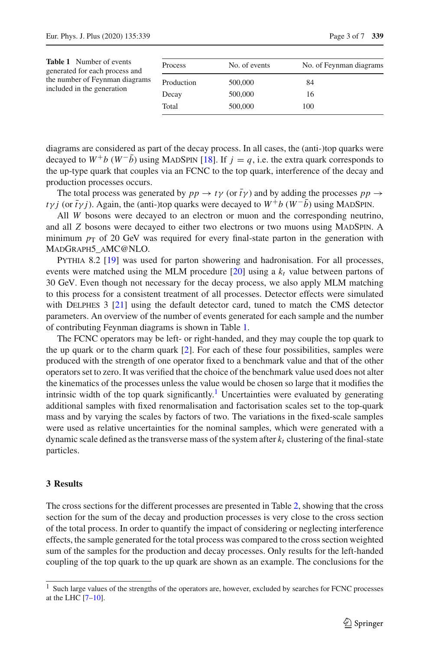<span id="page-2-0"></span>

| <b>Table 1</b> Number of events<br>generated for each process and<br>the number of Feynman diagrams<br>included in the generation | Process    | No. of events | No. of Feynman diagrams |
|-----------------------------------------------------------------------------------------------------------------------------------|------------|---------------|-------------------------|
|                                                                                                                                   | Production | 500,000       | 84                      |
|                                                                                                                                   | Decay      | 500,000       | 16                      |
|                                                                                                                                   | Total      | 500,000       | 100                     |

diagrams are considered as part of the decay process. In all cases, the (anti-)top quarks were decayed to  $W^+b(W^-\bar{b})$  using MADSPIN [\[18\]](#page-6-17). If  $j = q$ , i.e. the extra quark corresponds to the up-type quark that couples via an FCNC to the top quark, interference of the decay and production processes occurs.

The total process was generated by  $pp \to t\gamma$  (or  $\bar{t}\gamma$ ) and by adding the processes  $pp \to t\gamma$ *t*γ*j* (or  $\bar{t}$ γ*j*). Again, the (anti-)top quarks were decayed to  $W^+b(W^-\bar{b})$  using MADSPIN.

All *W* bosons were decayed to an electron or muon and the corresponding neutrino, and all *Z* bosons were decayed to either two electrons or two muons using MADSPIN. A minimum  $p<sub>T</sub>$  of 20 GeV was required for every final-state parton in the generation with MadGraph5\_aMC@NLO.

Pythia 8.2 [\[19\]](#page-6-18) was used for parton showering and hadronisation. For all processes, events were matched using the MLM procedure  $[20]$  $[20]$  using a  $k_t$  value between partons of 30 GeV. Even though not necessary for the decay process, we also apply MLM matching to this process for a consistent treatment of all processes. Detector effects were simulated with DELPHES 3 [\[21](#page-6-20)] using the default detector card, tuned to match the CMS detector parameters. An overview of the number of events generated for each sample and the number of contributing Feynman diagrams is shown in Table [1.](#page-2-0)

The FCNC operators may be left- or right-handed, and they may couple the top quark to the up quark or to the charm quark [\[2\]](#page-6-1). For each of these four possibilities, samples were produced with the strength of one operator fixed to a benchmark value and that of the other operators set to zero. It was verified that the choice of the benchmark value used does not alter the kinematics of the processes unless the value would be chosen so large that it modifies the intrinsic width of the top quark significantly.<sup>[1](#page-2-1)</sup> Uncertainties were evaluated by generating additional samples with fixed renormalisation and factorisation scales set to the top-quark mass and by varying the scales by factors of two. The variations in the fixed-scale samples were used as relative uncertainties for the nominal samples, which were generated with a dynamic scale defined as the transverse mass of the system after  $k_t$  clustering of the final-state particles.

### **3 Results**

The cross sections for the different processes are presented in Table [2,](#page-3-0) showing that the cross section for the sum of the decay and production processes is very close to the cross section of the total process. In order to quantify the impact of considering or neglecting interference effects, the sample generated for the total process was compared to the cross section weighted sum of the samples for the production and decay processes. Only results for the left-handed coupling of the top quark to the up quark are shown as an example. The conclusions for the

<span id="page-2-1"></span> $<sup>1</sup>$  Such large values of the strengths of the operators are, however, excluded by searches for FCNC processes</sup> at the LHC [\[7](#page-6-6)[–10](#page-6-9)].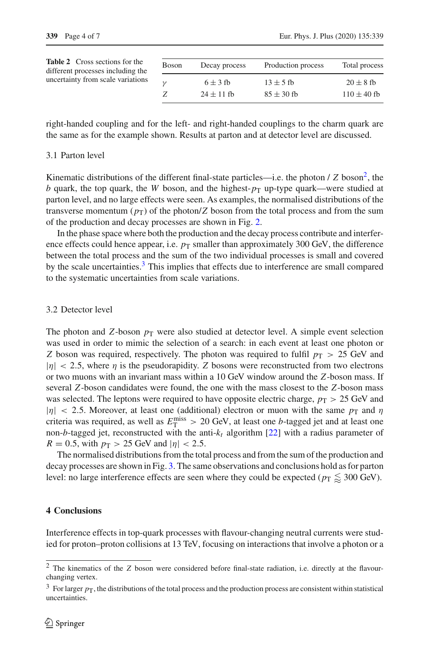<span id="page-3-0"></span>

| <b>Table 2</b> Cross sections for the<br>different processes including the | Boson | Decay process  | Production process | Total process   |
|----------------------------------------------------------------------------|-------|----------------|--------------------|-----------------|
| uncertainty from scale variations                                          |       | $6 \pm 3$ fb   | $13 \pm 5$ fb      | $20 \pm 8$ fb   |
|                                                                            |       | $24 \pm 11$ fb | $85 \pm 30$ fb     | $110 \pm 40$ fb |
|                                                                            |       |                |                    |                 |

right-handed coupling and for the left- and right-handed couplings to the charm quark are the same as for the example shown. Results at parton and at detector level are discussed.

#### 3.1 Parton level

Kinematic distributions of the different final-state particles—i.e. the photon  $\ell Z$  boson<sup>2</sup>, the *b* quark, the top quark, the *W* boson, and the highest- $p_T$  up-type quark—were studied at parton level, and no large effects were seen. As examples, the normalised distributions of the transverse momentum  $(p_T)$  of the photon/*Z* boson from the total process and from the sum of the production and decay processes are shown in Fig. [2.](#page-4-0)

In the phase space where both the production and the decay process contribute and interference effects could hence appear, i.e.  $p<sub>T</sub>$  smaller than approximately 300 GeV, the difference between the total process and the sum of the two individual processes is small and covered by the scale uncertainties.<sup>3</sup> This implies that effects due to interference are small compared to the systematic uncertainties from scale variations.

#### 3.2 Detector level

The photon and *Z*-boson  $p_T$  were also studied at detector level. A simple event selection was used in order to mimic the selection of a search: in each event at least one photon or *Z* boson was required, respectively. The photon was required to fulfil  $p<sub>T</sub> > 25$  GeV and  $|\eta|$  < 2.5, where  $\eta$  is the pseudorapidity. *Z* bosons were reconstructed from two electrons or two muons with an invariant mass within a 10 GeV window around the *Z*-boson mass. If several *Z*-boson candidates were found, the one with the mass closest to the *Z*-boson mass was selected. The leptons were required to have opposite electric charge,  $p_T > 25$  GeV and  $|\eta|$  < 2.5. Moreover, at least one (additional) electron or muon with the same  $p<sub>T</sub>$  and  $\eta$ criteria was required, as well as  $E_{\text{T}}^{\text{miss}} > 20$  GeV, at least one *b*-tagged jet and at least one non-*b*-tagged jet, reconstructed with the anti- $k_t$  algorithm [\[22\]](#page-6-21) with a radius parameter of  $R = 0.5$ , with  $p_T > 25$  GeV and  $|\eta| < 2.5$ .

The normalised distributions from the total process and from the sum of the production and decay processes are shown in Fig. [3.](#page-5-0) The same observations and conclusions hold as for parton level: no large interference effects are seen where they could be expected ( $p_{\rm T}\lessapprox 300$  GeV).

# **4 Conclusions**

Interference effects in top-quark processes with flavour-changing neutral currents were studied for proton–proton collisions at 13 TeV, focusing on interactions that involve a photon or a

<span id="page-3-1"></span><sup>&</sup>lt;sup>2</sup> The kinematics of the *Z* boson were considered before final-state radiation, i.e. directly at the flavourchanging vertex.

<span id="page-3-2"></span> $3$  For larger  $p_T$ , the distributions of the total process and the production process are consistent within statistical uncertainties.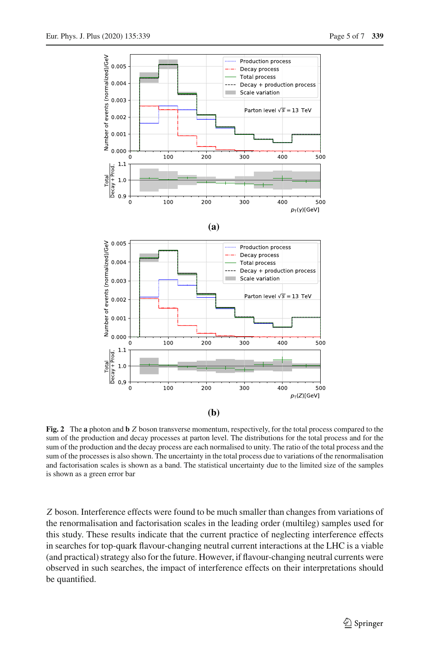

<span id="page-4-0"></span>**Fig. 2** The **a** photon and **b** *Z* boson transverse momentum, respectively, for the total process compared to the sum of the production and decay processes at parton level. The distributions for the total process and for the sum of the production and the decay process are each normalised to unity. The ratio of the total process and the sum of the processes is also shown. The uncertainty in the total process due to variations of the renormalisation and factorisation scales is shown as a band. The statistical uncertainty due to the limited size of the samples is shown as a green error bar

*Z* boson. Interference effects were found to be much smaller than changes from variations of the renormalisation and factorisation scales in the leading order (multileg) samples used for this study. These results indicate that the current practice of neglecting interference effects in searches for top-quark flavour-changing neutral current interactions at the LHC is a viable (and practical) strategy also for the future. However, if flavour-changing neutral currents were observed in such searches, the impact of interference effects on their interpretations should be quantified.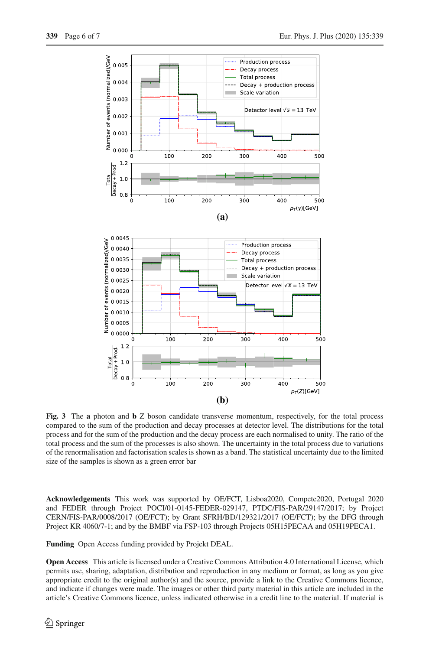

<span id="page-5-0"></span>**Fig. 3** The **a** photon and **b** Z boson candidate transverse momentum, respectively, for the total process compared to the sum of the production and decay processes at detector level. The distributions for the total process and for the sum of the production and the decay process are each normalised to unity. The ratio of the total process and the sum of the processes is also shown. The uncertainty in the total process due to variations of the renormalisation and factorisation scales is shown as a band. The statistical uncertainty due to the limited size of the samples is shown as a green error bar

**Acknowledgements** This work was supported by OE/FCT, Lisboa2020, Compete2020, Portugal 2020 and FEDER through Project POCI/01-0145-FEDER-029147, PTDC/FIS-PAR/29147/2017; by Project CERN/FIS-PAR/0008/2017 (OE/FCT); by Grant SFRH/BD/129321/2017 (OE/FCT); by the DFG through Project KR 4060/7-1; and by the BMBF via FSP-103 through Projects 05H15PECAA and 05H19PECA1.

**Funding** Open Access funding provided by Projekt DEAL.

**Open Access** This article is licensed under a Creative Commons Attribution 4.0 International License, which permits use, sharing, adaptation, distribution and reproduction in any medium or format, as long as you give appropriate credit to the original author(s) and the source, provide a link to the Creative Commons licence, and indicate if changes were made. The images or other third party material in this article are included in the article's Creative Commons licence, unless indicated otherwise in a credit line to the material. If material is